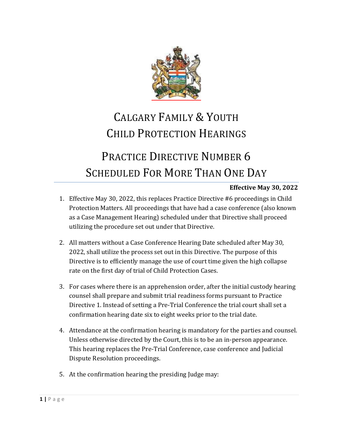

## CALGARY FAMILY & YOUTH CHILD PROTECTION HEARINGS

## PRACTICE DIRECTIVE NUMBER 6 SCHEDULED FOR MORE THAN ONE DAY

## **Effective May 30, 2022**

- 1. Effective May 30, 2022, this replaces Practice Directive #6 proceedings in Child Protection Matters. All proceedings that have had a case conference (also known as a Case Management Hearing) scheduled under that Directive shall proceed utilizing the procedure set out under that Directive.
- 2. All matters without a Case Conference Hearing Date scheduled after May 30, 2022, shall utilize the process set out in this Directive. The purpose of this Directive is to efficiently manage the use of court time given the high collapse rate on the first day of trial of Child Protection Cases.
- 3. For cases where there is an apprehension order, after the initial custody hearing counsel shall prepare and submit trial readiness forms pursuant to Practice Directive 1. Instead of setting a Pre-Trial Conference the trial court shall set a confirmation hearing date six to eight weeks prior to the trial date.
- 4. Attendance at the confirmation hearing is mandatory for the parties and counsel. Unless otherwise directed by the Court, this is to be an in-person appearance. This hearing replaces the Pre-Trial Conference, case conference and Judicial Dispute Resolution proceedings.
- 5. At the confirmation hearing the presiding Judge may: